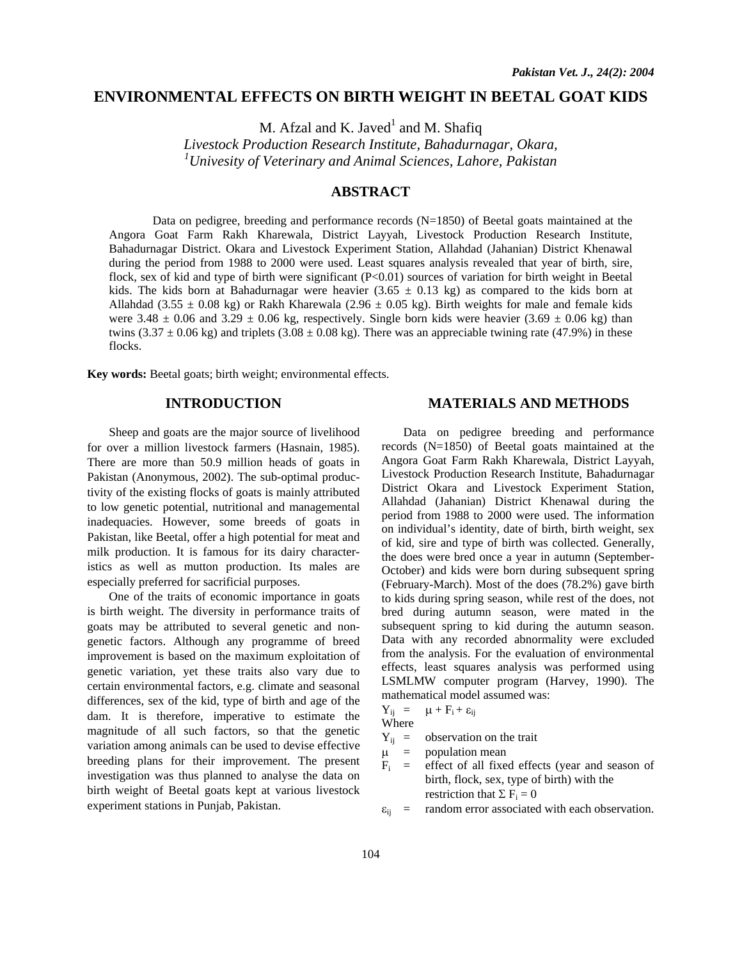# **ENVIRONMENTAL EFFECTS ON BIRTH WEIGHT IN BEETAL GOAT KIDS**

M. Afzal and K. Javed $^1$  and M. Shafiq

*Livestock Production Research Institute, Bahadurnagar, Okara, 1 Univesity of Veterinary and Animal Sciences, Lahore, Pakistan* 

# **ABSTRACT**

Data on pedigree, breeding and performance records  $(N=1850)$  of Beetal goats maintained at the Angora Goat Farm Rakh Kharewala, District Layyah, Livestock Production Research Institute, Bahadurnagar District. Okara and Livestock Experiment Station, Allahdad (Jahanian) District Khenawal during the period from 1988 to 2000 were used. Least squares analysis revealed that year of birth, sire, flock, sex of kid and type of birth were significant (P<0.01) sources of variation for birth weight in Beetal kids. The kids born at Bahadurnagar were heavier  $(3.65 \pm 0.13 \text{ kg})$  as compared to the kids born at Allahdad (3.55  $\pm$  0.08 kg) or Rakh Kharewala (2.96  $\pm$  0.05 kg). Birth weights for male and female kids were 3.48  $\pm$  0.06 and 3.29  $\pm$  0.06 kg, respectively. Single born kids were heavier (3.69  $\pm$  0.06 kg) than twins (3.37  $\pm$  0.06 kg) and triplets (3.08  $\pm$  0.08 kg). There was an appreciable twining rate (47.9%) in these flocks.

**Key words:** Beetal goats; birth weight; environmental effects.

## **INTRODUCTION**

 Sheep and goats are the major source of livelihood for over a million livestock farmers (Hasnain, 1985). There are more than 50.9 million heads of goats in Pakistan (Anonymous, 2002). The sub-optimal productivity of the existing flocks of goats is mainly attributed to low genetic potential, nutritional and managemental inadequacies. However, some breeds of goats in Pakistan, like Beetal, offer a high potential for meat and milk production. It is famous for its dairy characteristics as well as mutton production. Its males are especially preferred for sacrificial purposes.

 One of the traits of economic importance in goats is birth weight. The diversity in performance traits of goats may be attributed to several genetic and nongenetic factors. Although any programme of breed improvement is based on the maximum exploitation of genetic variation, yet these traits also vary due to certain environmental factors, e.g. climate and seasonal differences, sex of the kid, type of birth and age of the dam. It is therefore, imperative to estimate the magnitude of all such factors, so that the genetic variation among animals can be used to devise effective breeding plans for their improvement. The present investigation was thus planned to analyse the data on birth weight of Beetal goats kept at various livestock experiment stations in Punjab, Pakistan.

#### **MATERIALS AND METHODS**

Data on pedigree breeding and performance records (N=1850) of Beetal goats maintained at the Angora Goat Farm Rakh Kharewala, District Layyah, Livestock Production Research Institute, Bahadurnagar District Okara and Livestock Experiment Station, Allahdad (Jahanian) District Khenawal during the period from 1988 to 2000 were used. The information on individual's identity, date of birth, birth weight, sex of kid, sire and type of birth was collected. Generally, the does were bred once a year in autumn (September-October) and kids were born during subsequent spring (February-March). Most of the does (78.2%) gave birth to kids during spring season, while rest of the does, not bred during autumn season, were mated in the subsequent spring to kid during the autumn season. Data with any recorded abnormality were excluded from the analysis. For the evaluation of environmental effects, least squares analysis was performed using LSMLMW computer program (Harvey, 1990). The mathematical model assumed was:

$$
Y_{ij} = \mu + F_i + \epsilon_{ij}
$$

Where

 $Y_{ij}$  = observation on the trait

 $\mu$  = population mean<br>  $F_i$  = effect of all fixe

effect of all fixed effects (year and season of birth, flock, sex, type of birth) with the restriction that  $\Sigma F_i = 0$ 

 $\varepsilon_{ij}$  = random error associated with each observation.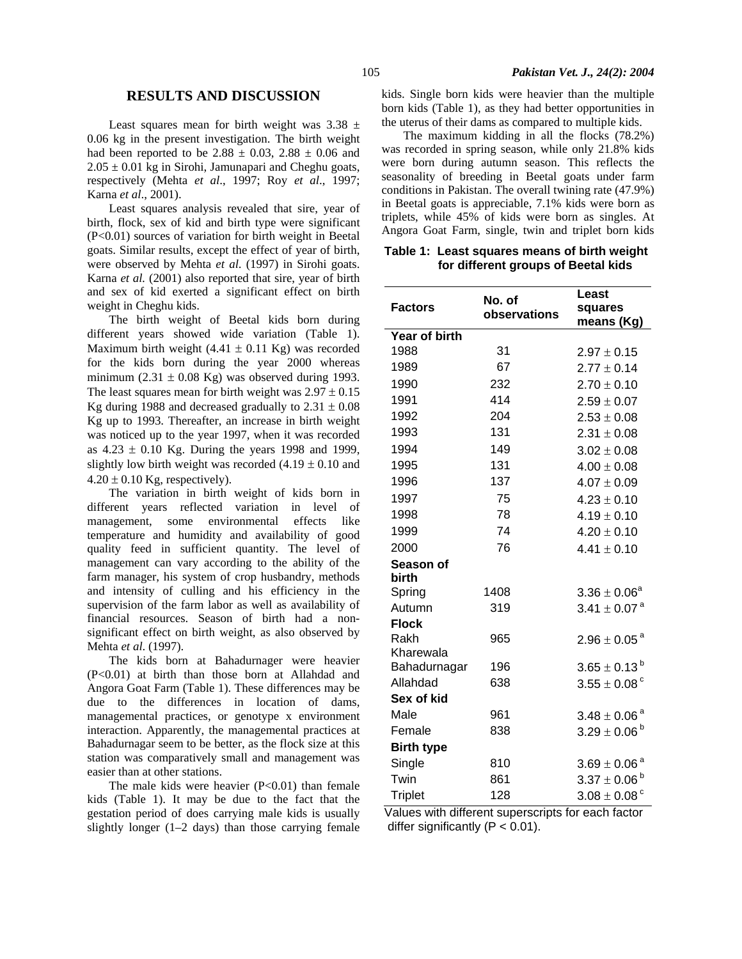### **RESULTS AND DISCUSSION**

Least squares mean for birth weight was  $3.38 \pm$ 0.06 kg in the present investigation. The birth weight had been reported to be  $2.88 \pm 0.03$ ,  $2.88 \pm 0.06$  and  $2.05 \pm 0.01$  kg in Sirohi, Jamunapari and Cheghu goats, respectively (Mehta *et al*., 1997; Roy *et al*., 1997; Karna *et al*., 2001).

 Least squares analysis revealed that sire, year of birth, flock, sex of kid and birth type were significant (P<0.01) sources of variation for birth weight in Beetal goats. Similar results, except the effect of year of birth, were observed by Mehta *et al*. (1997) in Sirohi goats. Karna *et al.* (2001) also reported that sire, year of birth and sex of kid exerted a significant effect on birth weight in Cheghu kids.

 The birth weight of Beetal kids born during different years showed wide variation (Table 1). Maximum birth weight  $(4.41 \pm 0.11 \text{ Kg})$  was recorded for the kids born during the year 2000 whereas minimum (2.31  $\pm$  0.08 Kg) was observed during 1993. The least squares mean for birth weight was  $2.97 \pm 0.15$ Kg during 1988 and decreased gradually to  $2.31 \pm 0.08$ Kg up to 1993. Thereafter, an increase in birth weight was noticed up to the year 1997, when it was recorded as  $4.23 \pm 0.10$  Kg. During the years 1998 and 1999, slightly low birth weight was recorded  $(4.19 \pm 0.10)$  and  $4.20 \pm 0.10$  Kg, respectively).

 The variation in birth weight of kids born in different years reflected variation in level of management, some environmental effects like temperature and humidity and availability of good quality feed in sufficient quantity. The level of management can vary according to the ability of the farm manager, his system of crop husbandry, methods and intensity of culling and his efficiency in the supervision of the farm labor as well as availability of financial resources. Season of birth had a nonsignificant effect on birth weight, as also observed by Mehta *et al*. (1997).

 The kids born at Bahadurnager were heavier (P<0.01) at birth than those born at Allahdad and Angora Goat Farm (Table 1). These differences may be due to the differences in location of dams, managemental practices, or genotype x environment interaction. Apparently, the managemental practices at Bahadurnagar seem to be better, as the flock size at this station was comparatively small and management was easier than at other stations.

The male kids were heavier  $(P<0.01)$  than female kids (Table 1). It may be due to the fact that the gestation period of does carrying male kids is usually slightly longer (1–2 days) than those carrying female

kids. Single born kids were heavier than the multiple born kids (Table 1), as they had better opportunities in the uterus of their dams as compared to multiple kids.

 The maximum kidding in all the flocks (78.2%) was recorded in spring season, while only 21.8% kids were born during autumn season. This reflects the seasonality of breeding in Beetal goats under farm conditions in Pakistan. The overall twining rate (47.9%) in Beetal goats is appreciable, 7.1% kids were born as triplets, while 45% of kids were born as singles. At Angora Goat Farm, single, twin and triplet born kids

**Table 1: Least squares means of birth weight for different groups of Beetal kids** 

|                      |                        | Least                        |
|----------------------|------------------------|------------------------------|
| <b>Factors</b>       | No. of<br>observations | squares                      |
|                      |                        | means (Kg)                   |
| <b>Year of birth</b> |                        |                              |
| 1988                 | 31                     | $2.97 \pm 0.15$              |
| 1989                 | 67                     | $2.77 \pm 0.14$              |
| 1990                 | 232                    | $2.70 \pm 0.10$              |
| 1991                 | 414                    | $2.59 \pm 0.07$              |
| 1992                 | 204                    | $2.53 \pm 0.08$              |
| 1993                 | 131                    | $2.31 \pm 0.08$              |
| 1994                 | 149                    | $3.02 \pm 0.08$              |
| 1995                 | 131                    | $4.00 \pm 0.08$              |
| 1996                 | 137                    | $4.07 \pm 0.09$              |
| 1997                 | 75                     | $4.23 \pm 0.10$              |
| 1998                 | 78                     | $4.19 \pm 0.10$              |
| 1999                 | 74                     | $4.20 \pm 0.10$              |
| 2000                 | 76                     | $4.41 \pm 0.10$              |
| Season of            |                        |                              |
| birth                |                        |                              |
| Spring               | 1408                   | $3.36 \pm 0.06^a$            |
| Autumn               | 319                    | $3.41 \pm 0.07^{\text{ a}}$  |
| <b>Flock</b>         |                        |                              |
| Rakh                 | 965                    | $2.96 \pm 0.05^{\text{ a}}$  |
| Kharewala            |                        |                              |
| Bahadurnagar         | 196                    | $3.65 \pm 0.13^{\text{ b}}$  |
| Allahdad             | 638                    | $3.55\pm0.08$ $^{\circ}$     |
| Sex of kid           |                        |                              |
| Male                 | 961                    | $3.48 \pm 0.06^{\text{ a}}$  |
| Female               | 838                    | $3.29 \pm 0.06^{\text{ b}}$  |
| <b>Birth type</b>    |                        |                              |
| Single               | 810                    | $3.69 \pm 0.06^{\text{ a}}$  |
| Twin                 | 861                    | $3.37\pm0.06^{\text{ b}}$    |
| <b>Triplet</b>       | 128                    | $3.08 \pm 0.08$ <sup>c</sup> |

Values with different superscripts for each factor differ significantly  $(P < 0.01)$ .